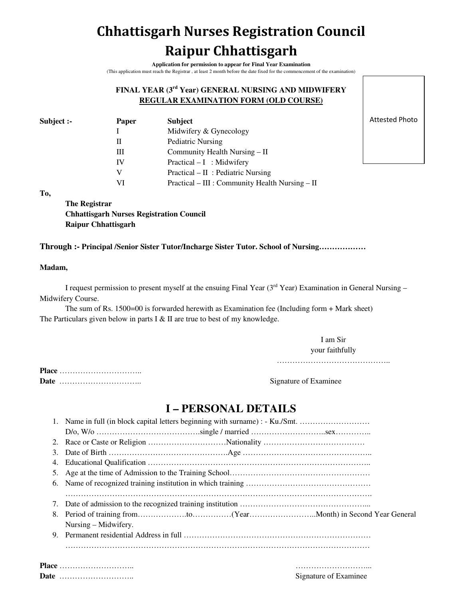# **Chhattisgarh Nurses Registration Council Raipur Chhattisgarh**

**Application for permission to appear for Final Year Examination**  (This application must reach the Registrar , at least 2 month before the date fixed for the commencement of the examination)

### **FINAL YEAR (3rd Year) GENERAL NURSING AND MIDWIFERY REGULAR EXAMINATION FORM (OLD COURSE)**

| <b>Subject</b>                                  |
|-------------------------------------------------|
| Midwifery & Gynecology                          |
| Pediatric Nursing                               |
| Community Health Nursing – II                   |
| $Practical - I$ : Midwifery                     |
| $Practical - II$ : Pediatric Nursing            |
| Practical – III : Community Health Nursing – II |
|                                                 |

Attested Photo

**To,** 

**The Registrar Chhattisgarh Nurses Registration Council Raipur Chhattisgarh** 

### **Through :- Principal /Senior Sister Tutor/Incharge Sister Tutor. School of Nursing………………**

#### **Madam,**

I request permission to present myself at the ensuing Final Year (3<sup>rd</sup> Year) Examination in General Nursing – Midwifery Course.

The sum of Rs. 1500=00 is forwarded herewith as Examination fee (Including form + Mark sheet) The Particulars given below in parts I & II are true to best of my knowledge.

> I am Sir your faithfully

……………………………………………

**Place** ………………………….. **Date** ………………………….. Signature of Examinee

## **I – PERSONAL DETAILS**

|    | 1. Name in full (in block capital letters beginning with surname) : - Ku./Smt. |  |  |  |  |
|----|--------------------------------------------------------------------------------|--|--|--|--|
|    |                                                                                |  |  |  |  |
|    |                                                                                |  |  |  |  |
|    |                                                                                |  |  |  |  |
| 4. |                                                                                |  |  |  |  |
|    |                                                                                |  |  |  |  |
|    |                                                                                |  |  |  |  |
|    |                                                                                |  |  |  |  |
|    |                                                                                |  |  |  |  |
|    |                                                                                |  |  |  |  |
|    |                                                                                |  |  |  |  |
|    | Nursing – Midwifery.                                                           |  |  |  |  |
|    |                                                                                |  |  |  |  |
|    |                                                                                |  |  |  |  |

**Place** ……………………….. ………………………... **Date** ……………………….. Signature of Examinee